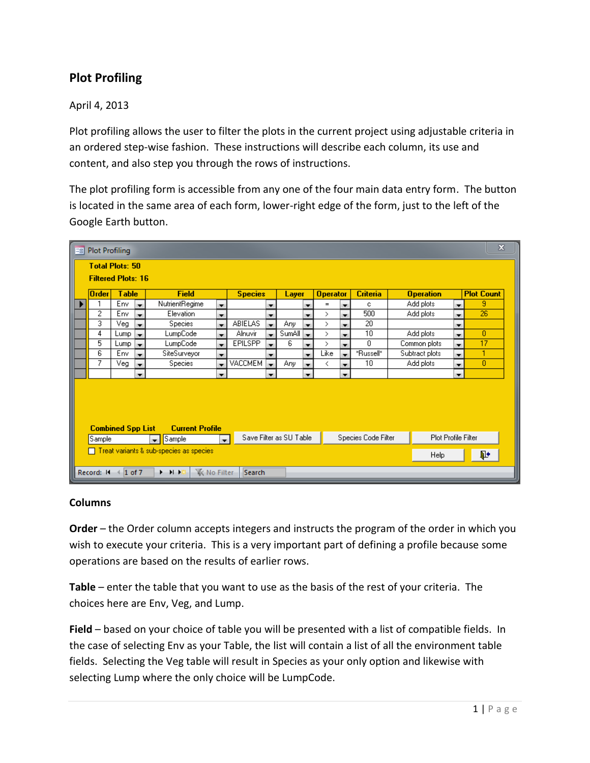# **Plot Profiling**

## April 4, 2013

Plot profiling allows the user to filter the plots in the current project using adjustable criteria in an ordered step-wise fashion. These instructions will describe each column, its use and content, and also step you through the rows of instructions.

The plot profiling form is accessible from any one of the four main data entry form. The button is located in the same area of each form, lower-right edge of the form, just to the left of the Google Earth button.

| $\mathbf{x}$<br><b>EB</b> Plot Profiling                                                                                |                                                     |                              |                          |                |                          |                |                          |                       |                          |                 |                          |                 |                  |                |                          |                   |  |
|-------------------------------------------------------------------------------------------------------------------------|-----------------------------------------------------|------------------------------|--------------------------|----------------|--------------------------|----------------|--------------------------|-----------------------|--------------------------|-----------------|--------------------------|-----------------|------------------|----------------|--------------------------|-------------------|--|
|                                                                                                                         | <b>Total Plots: 50</b><br><b>Filtered Plots: 16</b> |                              |                          |                |                          |                |                          |                       |                          |                 |                          |                 |                  |                |                          |                   |  |
|                                                                                                                         | Order                                               | <b>Table</b><br><b>Field</b> |                          |                |                          | <b>Species</b> |                          | Layer                 |                          | <b>Operator</b> |                          | <b>Criteria</b> | <b>Operation</b> |                |                          | <b>Plot Count</b> |  |
|                                                                                                                         |                                                     | Env                          | ÷                        | NutrientRegime | $\overline{\phantom{a}}$ |                | ▼                        |                       | ▼                        | $=$             | $\overline{\phantom{a}}$ | c               |                  | Add plots      | ▼                        | 9                 |  |
|                                                                                                                         | 2                                                   | Env                          | $\overline{\phantom{a}}$ | Elevation      | ▼                        |                | ▼                        |                       | ▼                        | $\rightarrow$   |                          | 500             |                  | Add plots      | ▼                        | 26                |  |
|                                                                                                                         | 3                                                   | $\overline{\vee}$ eg         | ÷                        | Species        | $\overline{\phantom{a}}$ | <b>ABIELAS</b> | ÷                        | Any                   | $\blacksquare$           | $\rightarrow$   |                          | $\overline{20}$ |                  |                | ▼                        |                   |  |
|                                                                                                                         | 4                                                   | Lump                         | <b>Exc</b>               | LumpCode       | ۰                        | Alnuvir        | $\blacksquare$           | Sum All $\rightarrow$ |                          | $\rightarrow$   |                          | 10              |                  | Add plots      | ۰                        | o                 |  |
|                                                                                                                         | 5                                                   | Lump                         | $\overline{\phantom{a}}$ | LumpCode       | $\overline{\phantom{a}}$ | <b>EPILSPP</b> | ۰                        | 6                     | ▼                        | $\rightarrow$   |                          | 0.              |                  | Common plots   | $\overline{\phantom{a}}$ | 17                |  |
|                                                                                                                         | 6                                                   | Env                          | $\mathbf{r}$             | SiteSurveyor   | ÷                        |                | ▼                        |                       | $\overline{\phantom{a}}$ | Like            |                          | *Russell*       |                  | Subtract plots | ۰                        |                   |  |
|                                                                                                                         | 7                                                   | Veg                          | $\overline{\phantom{0}}$ | <b>Species</b> | $\overline{\phantom{a}}$ | VACCMEM        | $\overline{\phantom{a}}$ | Any.                  | ×                        | ₹               |                          | 10              |                  | Add plots      | ۰                        | 0                 |  |
|                                                                                                                         |                                                     |                              | $\overline{\phantom{a}}$ |                | ▼                        |                | ۰                        |                       | $\overline{\phantom{a}}$ |                 | $\overline{\phantom{a}}$ |                 |                  |                | $\overline{\phantom{a}}$ |                   |  |
| <b>Combined Spp List</b><br><b>Current Profile</b>                                                                      |                                                     |                              |                          |                |                          |                |                          |                       |                          |                 |                          |                 |                  |                |                          |                   |  |
| Save Filter as SU Table<br>Species Code Filter<br>Plot Profile Filter<br>Sample<br>Sample<br>$\blacktriangledown$<br>v. |                                                     |                              |                          |                |                          |                |                          |                       |                          |                 |                          |                 |                  |                |                          |                   |  |
| $\Box$ Treat variants & sub-species as species                                                                          |                                                     |                              |                          |                |                          |                |                          |                       |                          |                 |                          | ⋫<br>Help       |                  |                |                          |                   |  |
| <b>W</b> No Filter<br>$+$ $+$ $+$<br>Search<br>Record: I4<br>$1$ of $7$                                                 |                                                     |                              |                          |                |                          |                |                          |                       |                          |                 |                          |                 |                  |                |                          |                   |  |

#### **Columns**

**Order** – the Order column accepts integers and instructs the program of the order in which you wish to execute your criteria. This is a very important part of defining a profile because some operations are based on the results of earlier rows.

**Table** – enter the table that you want to use as the basis of the rest of your criteria. The choices here are Env, Veg, and Lump.

**Field** – based on your choice of table you will be presented with a list of compatible fields. In the case of selecting Env as your Table, the list will contain a list of all the environment table fields. Selecting the Veg table will result in Species as your only option and likewise with selecting Lump where the only choice will be LumpCode.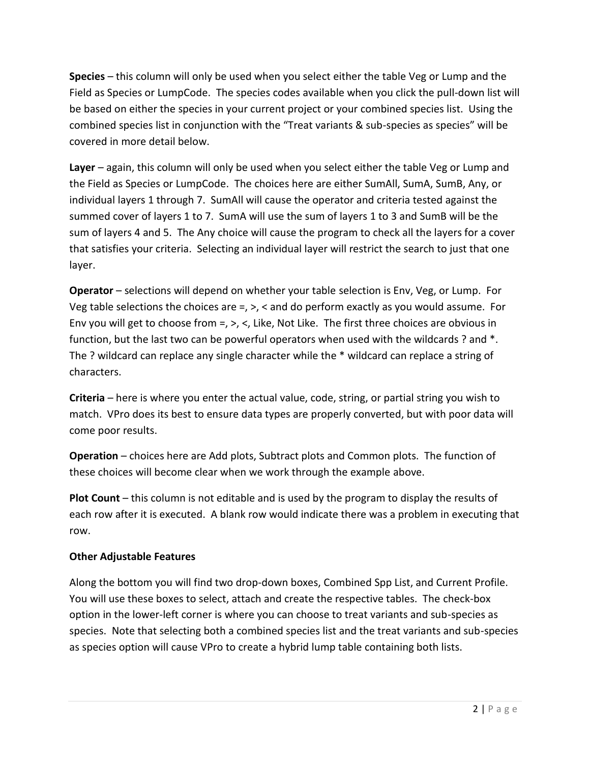**Species** – this column will only be used when you select either the table Veg or Lump and the Field as Species or LumpCode. The species codes available when you click the pull-down list will be based on either the species in your current project or your combined species list. Using the combined species list in conjunction with the "Treat variants & sub-species as species" will be covered in more detail below.

**Layer** – again, this column will only be used when you select either the table Veg or Lump and the Field as Species or LumpCode. The choices here are either SumAll, SumA, SumB, Any, or individual layers 1 through 7. SumAll will cause the operator and criteria tested against the summed cover of layers 1 to 7. SumA will use the sum of layers 1 to 3 and SumB will be the sum of layers 4 and 5. The Any choice will cause the program to check all the layers for a cover that satisfies your criteria. Selecting an individual layer will restrict the search to just that one layer.

**Operator** – selections will depend on whether your table selection is Env, Veg, or Lump. For Veg table selections the choices are  $=$ ,  $>$ ,  $<$  and do perform exactly as you would assume. For Env you will get to choose from =, >, <, Like, Not Like. The first three choices are obvious in function, but the last two can be powerful operators when used with the wildcards ? and \*. The ? wildcard can replace any single character while the \* wildcard can replace a string of characters.

**Criteria** – here is where you enter the actual value, code, string, or partial string you wish to match. VPro does its best to ensure data types are properly converted, but with poor data will come poor results.

**Operation** – choices here are Add plots, Subtract plots and Common plots. The function of these choices will become clear when we work through the example above.

**Plot Count** – this column is not editable and is used by the program to display the results of each row after it is executed. A blank row would indicate there was a problem in executing that row.

# **Other Adjustable Features**

Along the bottom you will find two drop-down boxes, Combined Spp List, and Current Profile. You will use these boxes to select, attach and create the respective tables. The check-box option in the lower-left corner is where you can choose to treat variants and sub-species as species. Note that selecting both a combined species list and the treat variants and sub-species as species option will cause VPro to create a hybrid lump table containing both lists.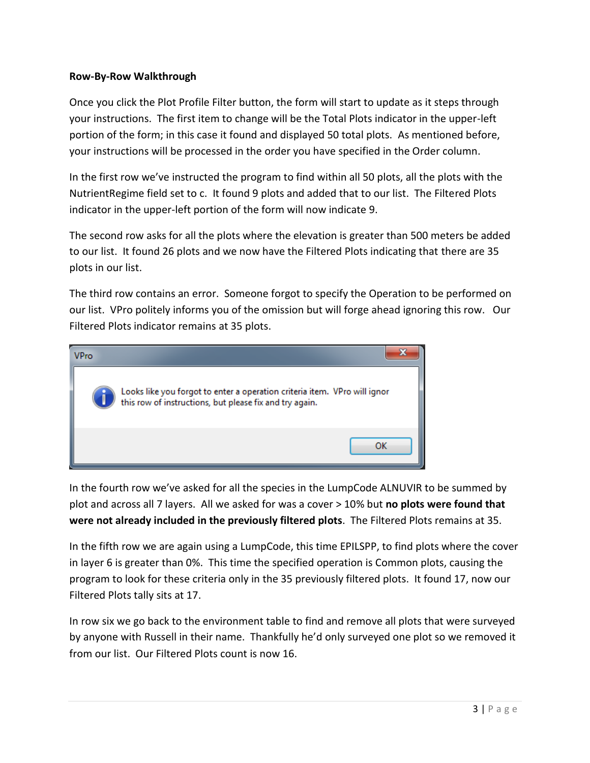### **Row-By-Row Walkthrough**

Once you click the Plot Profile Filter button, the form will start to update as it steps through your instructions. The first item to change will be the Total Plots indicator in the upper-left portion of the form; in this case it found and displayed 50 total plots. As mentioned before, your instructions will be processed in the order you have specified in the Order column.

In the first row we've instructed the program to find within all 50 plots, all the plots with the NutrientRegime field set to c. It found 9 plots and added that to our list. The Filtered Plots indicator in the upper-left portion of the form will now indicate 9.

The second row asks for all the plots where the elevation is greater than 500 meters be added to our list. It found 26 plots and we now have the Filtered Plots indicating that there are 35 plots in our list.

The third row contains an error. Someone forgot to specify the Operation to be performed on our list. VPro politely informs you of the omission but will forge ahead ignoring this row. Our Filtered Plots indicator remains at 35 plots.



In the fourth row we've asked for all the species in the LumpCode ALNUVIR to be summed by plot and across all 7 layers. All we asked for was a cover > 10% but **no plots were found that were not already included in the previously filtered plots**. The Filtered Plots remains at 35.

In the fifth row we are again using a LumpCode, this time EPILSPP, to find plots where the cover in layer 6 is greater than 0%. This time the specified operation is Common plots, causing the program to look for these criteria only in the 35 previously filtered plots. It found 17, now our Filtered Plots tally sits at 17.

In row six we go back to the environment table to find and remove all plots that were surveyed by anyone with Russell in their name. Thankfully he'd only surveyed one plot so we removed it from our list. Our Filtered Plots count is now 16.